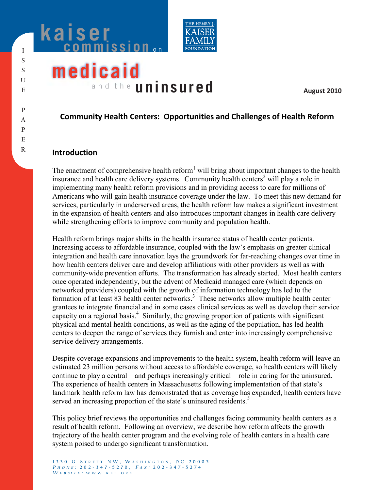



# **medicaid** and the **uninsured**

**August 2010**

## **Community Health Centers: Opportunities and Challenges of Health Reform**

## **Introduction**

The enactment of comprehensive health reform<sup>1</sup> will bring about important changes to the health insurance and health care delivery systems. Community health centers<sup>2</sup> will play a role in implementing many health reform provisions and in providing access to care for millions of Americans who will gain health insurance coverage under the law. To meet this new demand for services, particularly in underserved areas, the health reform law makes a significant investment in the expansion of health centers and also introduces important changes in health care delivery while strengthening efforts to improve community and population health.

Health reform brings major shifts in the health insurance status of health center patients. Increasing access to affordable insurance, coupled with the law's emphasis on greater clinical integration and health care innovation lays the groundwork for far-reaching changes over time in how health centers deliver care and develop affiliations with other providers as well as with community-wide prevention efforts. The transformation has already started. Most health centers once operated independently, but the advent of Medicaid managed care (which depends on networked providers) coupled with the growth of information technology has led to the formation of at least 83 health center networks.<sup>3</sup> These networks allow multiple health center grantees to integrate financial and in some cases clinical services as well as develop their service capacity on a regional basis.<sup>4</sup> Similarly, the growing proportion of patients with significant physical and mental health conditions, as well as the aging of the population, has led health centers to deepen the range of services they furnish and enter into increasingly comprehensive service delivery arrangements.

Despite coverage expansions and improvements to the health system, health reform will leave an estimated 23 million persons without access to affordable coverage, so health centers will likely continue to play a central—and perhaps increasingly critical—role in caring for the uninsured. The experience of health centers in Massachusetts following implementation of that state's landmark health reform law has demonstrated that as coverage has expanded, health centers have served an increasing proportion of the state's uninsured residents.<sup>5</sup>

This policy brief reviews the opportunities and challenges facing community health centers as a result of health reform. Following an overview, we describe how reform affects the growth trajectory of the health center program and the evolving role of health centers in a health care system poised to undergo significant transformation.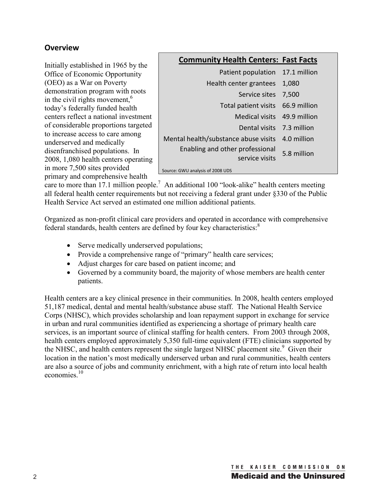## **Overview**

Initially established in 1965 by the Office of Economic Opportunity (OEO) as a War on Poverty demonstration program with roots in the civil rights movement,  $6\overline{6}$ today's federally funded health centers reflect a national investment of considerable proportions targeted to increase access to care among underserved and medically disenfranchised populations. In 2008, 1,080 health centers operating in more 7,500 sites provided primary and comprehensive health

## **Community Health Centers: Fast Facts**

| Patient population 17.1 million                   |              |
|---------------------------------------------------|--------------|
| Health center grantees                            | 1,080        |
| Service sites                                     | 7,500        |
| Total patient visits                              | 66.9 million |
| Medical visits 49.9 million                       |              |
| Dental visits 7.3 million                         |              |
| Mental health/substance abuse visits              | 4.0 million  |
| Enabling and other professional<br>service visits | 5.8 million  |
| Source: GWU analysis of 2008 UDS                  |              |

care to more than 17.1 million people.<sup>7</sup> An additional 100 "look-alike" health centers meeting all federal health center requirements but not receiving a federal grant under §330 of the Public Health Service Act served an estimated one million additional patients.

Organized as non-profit clinical care providers and operated in accordance with comprehensive federal standards, health centers are defined by four key characteristics:<sup>8</sup>

- Serve medically underserved populations;
- Provide a comprehensive range of "primary" health care services;
- Adjust charges for care based on patient income; and
- Governed by a community board, the majority of whose members are health center patients.

Health centers are a key clinical presence in their communities. In 2008, health centers employed 51,187 medical, dental and mental health/substance abuse staff. The National Health Service Corps (NHSC), which provides scholarship and loan repayment support in exchange for service in urban and rural communities identified as experiencing a shortage of primary health care services, is an important source of clinical staffing for health centers. From 2003 through 2008, health centers employed approximately 5,350 full-time equivalent (FTE) clinicians supported by the NHSC, and health centers represent the single largest NHSC placement site.<sup>9</sup> Given their location in the nation's most medically underserved urban and rural communities, health centers are also a source of jobs and community enrichment, with a high rate of return into local health economies<sup>10</sup>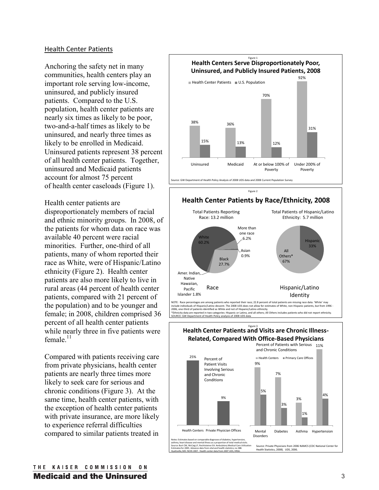#### Health Center Patients

Anchoring the safety net in many communities, health centers play an important role serving low-income, uninsured, and publicly insured patients. Compared to the U.S. population, health center patients are nearly six times as likely to be poor, two-and-a-half times as likely to be uninsured, and nearly three times as likely to be enrolled in Medicaid. Uninsured patients represent 38 percent of all health center patients. Together, uninsured and Medicaid patients account for almost 75 percent of health center caseloads (Figure 1).

Health center patients are disproportionately members of racial and ethnic minority groups. In 2008, of the patients for whom data on race was available 40 percent were racial minorities. Further, one-third of all patients, many of whom reported their race as White, were of Hispanic/Latino ethnicity (Figure 2). Health center patients are also more likely to live in rural areas (44 percent of health center patients, compared with 21 percent of the population) and to be younger and female; in 2008, children comprised 36 percent of all health center patients while nearly three in five patients were female $11$ 

Compared with patients receiving care from private physicians, health center patients are nearly three times more likely to seek care for serious and chronic conditions (Figure 3).At the same time, health center patients, with the exception of health center patients with private insurance, are more likely to experience referral difficulties compared to similar patients treated in





2006, one-third of patients identified as White and not of Hispanic/Latino ethnicity. \*Ethnicity data are reported in two categories: Hispanic or Latino, and all others; All Others includes patients who did not report ethnicity. nt of Health Policy analysis of 2008 UDS data

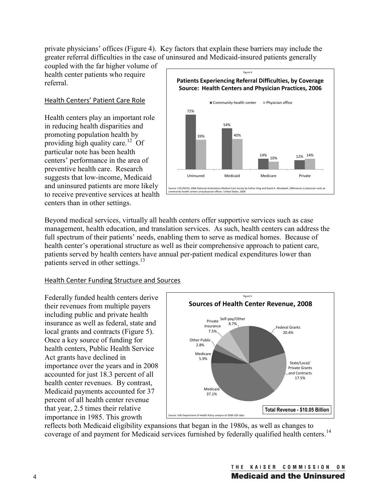private physicians' offices (Figure 4). Key factors that explain these barriers may include the greater referral difficulties in the case of uninsured and Medicaid-insured patients generally

coupled with the far higher volume of health center patients who require referral.

## Health Centers' Patient Care Role

Health centers play an important role in reducing health disparities and promoting population health by providing high quality care.<sup>12</sup> Of particular note has been health centers' performance in the area of preventive health care. Research suggests that low-income, Medicaid and uninsured patients are more likely to receive preventive services at health centers than in other settings.



Beyond medical services, virtually all health centers offer supportive services such as case management, health education, and translation services. As such, health centers can address the full spectrum of their patients' needs, enabling them to serve as medical homes. Because of health center's operational structure as well as their comprehensive approach to patient care, patients served by health centers have annual per-patient medical expenditures lower than patients served in other settings.<sup>13</sup>

## Health Center Funding Structure and Sources

Federally funded health centers derive their revenues from multiple payers including public and private health insurance as well as federal, state and local grants and contracts (Figure 5). Once a key source of funding for health centers, Public Health Service Act grants have declined in importance over the years and in 2008 accounted for just 18.3 percent of all health center revenues. By contrast, Medicaid payments accounted for 37 percent of all health center revenue that year, 2.5 times their relative importance in 1985. This growth



reflects both Medicaid eligibility expansions that began in the 1980s, as well as changes to coverage of and payment for Medicaid services furnished by federally qualified health centers.<sup>14</sup>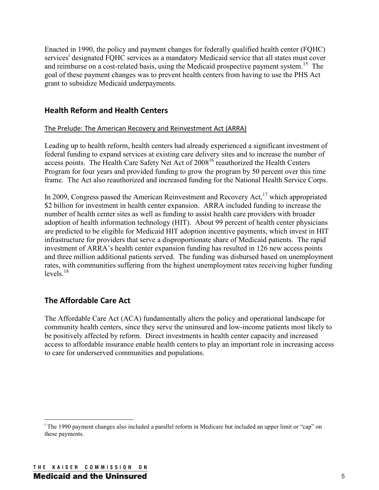Enacted in 1990, the policy and payment changes for federally qualified health center (FQHC) services<sup>i</sup> designated FQHC services as a mandatory Medicaid service that all states must cover and reimburse on a cost-related basis, using the Medicaid prospective payment system.<sup>15</sup> The goal of these payment changes was to prevent health centers from having to use the PHS Act grant to subsidize Medicaid underpayments.

## **Health Reform and Health Centers**

#### The Prelude: The American Recovery and Reinvestment Act (ARRA)

Leading up to health reform, health centers had already experienced a significant investment of federal funding to expand services at existing care delivery sites and to increase the number of access points. The Health Care Safety Net Act of 2008<sup>16</sup> reauthorized the Health Centers Program for four years and provided funding to grow the program by 50 percent over this time frame. The Act also reauthorized and increased funding for the National Health Service Corps.

In 2009, Congress passed the American Reinvestment and Recovery Act, $^{17}$  which appropriated \$2 billion for investment in health center expansion. ARRA included funding to increase the number of health center sites as well as funding to assist health care providers with broader adoption of health information technology (HIT). About 99 percent of health center physicians are predicted to be eligible for Medicaid HIT adoption incentive payments, which invest in HIT infrastructure for providers that serve a disproportionate share of Medicaid patients. The rapid investment of ARRA's health center expansion funding has resulted in 126 new access points and three million additional patients served. The funding was disbursed based on unemployment rates, with communities suffering from the highest unemployment rates receiving higher funding levels $18$ 

## **The Affordable Care Act**

The Affordable Care Act (ACA) fundamentally alters the policy and operational landscape for community health centers, since they serve the uninsured and low-income patients most likely to be positively affected by reform. Direct investments in health center capacity and increased access to affordable insurance enable health centers to play an important role in increasing access to care for underserved communities and populations.

 $\overline{a}$ <sup>i</sup> The 1990 payment changes also included a parallel reform in Medicare but included an upper limit or "cap" on these payments.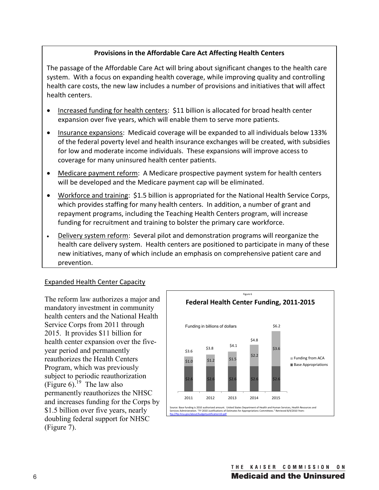#### **Provisions in the Affordable Care Act Affecting Health Centers**

The passage of the Affordable Care Act will bring about significant changes to the health care system. With a focus on expanding health coverage, while improving quality and controlling health care costs, the new law includes a number of provisions and initiatives that will affect health centers.

- Increased funding for health centers: \$11 billion is allocated for broad health center expansion over five years, which will enable them to serve more patients.
- Insurance expansions: Medicaid coverage will be expanded to all individuals below 133% of the federal poverty level and health insurance exchanges will be created, with subsidies for low and moderate income individuals. These expansions will improve access to coverage for many uninsured health center patients.
- Medicare payment reform: A Medicare prospective payment system for health centers will be developed and the Medicare payment cap will be eliminated.
- Workforce and training: \$1.5 billion is appropriated for the National Health Service Corps, which provides staffing for many health centers. In addition, a number of grant and repayment programs, including the Teaching Health Centers program, will increase funding for recruitment and training to bolster the primary care workforce.
- Delivery system reform: Several pilot and demonstration programs will reorganize the health care delivery system. Health centers are positioned to participate in many of these new initiatives, many of which include an emphasis on comprehensive patient care and prevention.

#### Expanded Health Center Capacity

The reform law authorizes a major and mandatory investment in community health centers and the National Health Service Corps from 2011 through 2015. It provides \$11 billion for health center expansion over the fiveyear period and permanently reauthorizes the Health Centers Program, which was previously subject to periodic reauthorization (Figure 6).<sup>19</sup> The law also permanently reauthorizes the NHSC and increases funding for the Corps by \$1.5 billion over five years, nearly doubling federal support for NHSC (Figure 7).

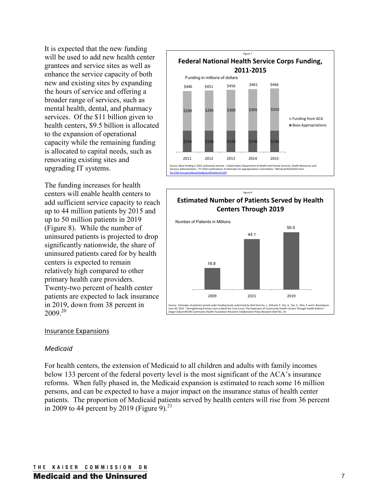It is expected that the new funding will be used to add new health center grantees and service sites as well as enhance the service capacity of both new and existing sites by expanding the hours of service and offering a broader range of services, such as mental health, dental, and pharmacy services. Of the \$11 billion given to health centers, \$9.5 billion is allocated to the expansion of operational capacity while the remaining funding is allocated to capital needs, such as renovating existing sites and upgrading IT systems.

The funding increases for health centers will enable health centers to add sufficient service capacity to reach up to 44 million patients by 2015 and up to 50 million patients in 2019 (Figure 8). While the number of uninsured patients is projected to drop significantly nationwide, the share of uninsured patients cared for by health centers is expected to remain relatively high compared to other primary health care providers. Twenty-two percent of health center patients are expected to lack insurance in 2019, down from 38 percent in  $2009^{20}$ 

## **Federal National Health Service Corps Funding, 2011-2015** \$156 \$156 \$156 \$156 \$156 \$290 \$295 \$300 \$305 \$310 2011 2012 2013 2014 2015 Funding from ACA **Base Appropriations** \$446 \$451 2010 authorized amount. United States Department of Health and Human Services, Health Resources<br>The V2010 lustifications of Estimates for Appropriations Committees " Betrieved 8/4/2010 from: services and the Estimate for Appropriations of Estimate for Appropriations Committees." Retrieved 8 ftp://ftp.hrsa.gov/about/budgetjustification10.pdf Funding in millions of dollars \$456 \$461 \$466 Figure 7



#### Insurance Expansions

#### *Medicaid*

For health centers, the extension of Medicaid to all children and adults with family incomes below 133 percent of the federal poverty level is the most significant of the ACA's insurance reforms. When fully phased in, the Medicaid expansion is estimated to reach some 16 million persons, and can be expected to have a major impact on the insurance status of health center patients. The proportion of Medicaid patients served by health centers will rise from 36 percent in 2009 to 44 percent by 2019 (Figure 9).<sup>21</sup>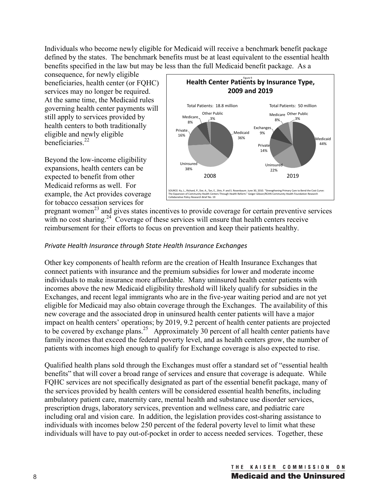Individuals who become newly eligible for Medicaid will receive a benchmark benefit package defined by the states. The benchmark benefits must be at least equivalent to the essential health benefits specified in the law but may be less than the full Medicaid benefit package. As a

consequence, for newly eligible beneficiaries, health center (or FQHC) services may no longer be required. At the same time, the Medicaid rules governing health center payments will still apply to services provided by health centers to both traditionally eligible and newly eligible beneficiaries $^{22}$ 

Beyond the low-income eligibility expansions, health centers can be expected to benefit from other Medicaid reforms as well. For example, the Act provides coverage for tobacco cessation services for



pregnant women<sup>23</sup> and gives states incentives to provide coverage for certain preventive services with no cost sharing.<sup>24</sup> Coverage of these services will ensure that health centers receive reimbursement for their efforts to focus on prevention and keep their patients healthy.

## *Private Health Insurance through State Health Insurance Exchanges*

Other key components of health reform are the creation of Health Insurance Exchanges that connect patients with insurance and the premium subsidies for lower and moderate income individuals to make insurance more affordable. Many uninsured health center patients with incomes above the new Medicaid eligibility threshold will likely qualify for subsidies in the Exchanges, and recent legal immigrants who are in the five-year waiting period and are not yet eligible for Medicaid may also obtain coverage through the Exchanges. The availability of this new coverage and the associated drop in uninsured health center patients will have a major impact on health centers' operations; by 2019, 9.2 percent of health center patients are projected to be covered by exchange plans.<sup>25</sup> Approximately 30 percent of all health center patients have family incomes that exceed the federal poverty level, and as health centers grow, the number of patients with incomes high enough to qualify for Exchange coverage is also expected to rise.

Qualified health plans sold through the Exchanges must offer a standard set of "essential health benefits" that will cover a broad range of services and ensure that coverage is adequate. While FQHC services are not specifically designated as part of the essential benefit package, many of the services provided by health centers will be considered essential health benefits, including ambulatory patient care, maternity care, mental health and substance use disorder services, prescription drugs, laboratory services, prevention and wellness care, and pediatric care including oral and vision care. In addition, the legislation provides cost-sharing assistance to individuals with incomes below 250 percent of the federal poverty level to limit what these individuals will have to pay out-of-pocket in order to access needed services. Together, these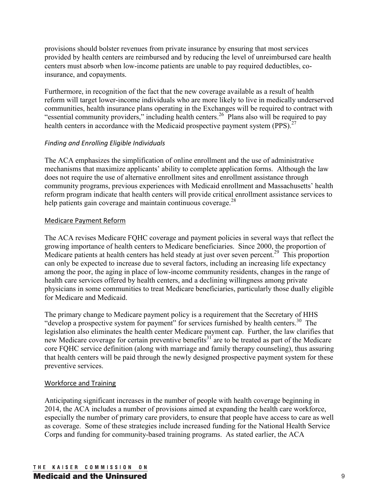provisions should bolster revenues from private insurance by ensuring that most services provided by health centers are reimbursed and by reducing the level of unreimbursed care health centers must absorb when low-income patients are unable to pay required deductibles, coinsurance, and copayments.

Furthermore, in recognition of the fact that the new coverage available as a result of health reform will target lower-income individuals who are more likely to live in medically underserved communities, health insurance plans operating in the Exchanges will be required to contract with "essential community providers," including health centers.<sup>26</sup> Plans also will be required to pay health centers in accordance with the Medicaid prospective payment system (PPS).<sup>27</sup>

## *Finding and Enrolling Eligible Individuals*

The ACA emphasizes the simplification of online enrollment and the use of administrative mechanisms that maximize applicants' ability to complete application forms. Although the law does not require the use of alternative enrollment sites and enrollment assistance through community programs, previous experiences with Medicaid enrollment and Massachusetts' health reform program indicate that health centers will provide critical enrollment assistance services to help patients gain coverage and maintain continuous coverage. $^{28}$ 

## Medicare Payment Reform

The ACA revises Medicare FQHC coverage and payment policies in several ways that reflect the growing importance of health centers to Medicare beneficiaries. Since 2000, the proportion of Medicare patients at health centers has held steady at just over seven percent.<sup>29</sup> This proportion can only be expected to increase due to several factors, including an increasing life expectancy among the poor, the aging in place of low-income community residents, changes in the range of health care services offered by health centers, and a declining willingness among private physicians in some communities to treat Medicare beneficiaries, particularly those dually eligible for Medicare and Medicaid.

The primary change to Medicare payment policy is a requirement that the Secretary of HHS "develop a prospective system for payment" for services furnished by health centers.<sup>30</sup> The legislation also eliminates the health center Medicare payment cap. Further, the law clarifies that new Medicare coverage for certain preventive benefits<sup>31</sup> are to be treated as part of the Medicare core FQHC service definition (along with marriage and family therapy counseling), thus assuring that health centers will be paid through the newly designed prospective payment system for these preventive services.

## Workforce and Training

Anticipating significant increases in the number of people with health coverage beginning in 2014, the ACA includes a number of provisions aimed at expanding the health care workforce, especially the number of primary care providers, to ensure that people have access to care as well as coverage. Some of these strategies include increased funding for the National Health Service Corps and funding for community-based training programs. As stated earlier, the ACA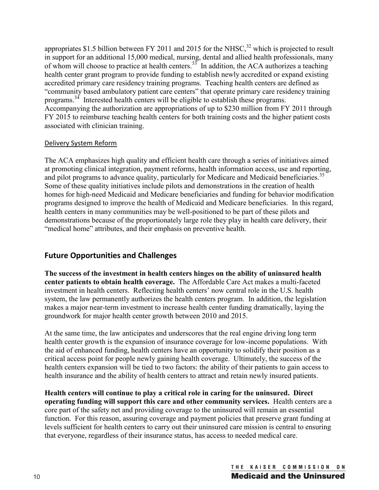appropriates \$1.5 billion between FY 2011 and 2015 for the NHSC,<sup>32</sup> which is projected to result in support for an additional 15,000 medical, nursing, dental and allied health professionals, many of whom will choose to practice at health centers.<sup>35</sup> In addition, the ACA authorizes a teaching health center grant program to provide funding to establish newly accredited or expand existing accredited primary care residency training programs. Teaching health centers are defined as "community based ambulatory patient care centers" that operate primary care residency training programs.34 Interested health centers will be eligible to establish these programs. Accompanying the authorization are appropriations of up to \$230 million from FY 2011 through FY 2015 to reimburse teaching health centers for both training costs and the higher patient costs associated with clinician training.

#### Delivery System Reform

The ACA emphasizes high quality and efficient health care through a series of initiatives aimed at promoting clinical integration, payment reforms, health information access, use and reporting, and pilot programs to advance quality, particularly for Medicare and Medicaid beneficiaries.<sup>35</sup> Some of these quality initiatives include pilots and demonstrations in the creation of health homes for high-need Medicaid and Medicare beneficiaries and funding for behavior modification programs designed to improve the health of Medicaid and Medicare beneficiaries. In this regard, health centers in many communities may be well-positioned to be part of these pilots and demonstrations because of the proportionately large role they play in health care delivery, their "medical home" attributes, and their emphasis on preventive health.

## **Future Opportunities and Challenges**

**The success of the investment in health centers hinges on the ability of uninsured health center patients to obtain health coverage.** The Affordable Care Act makes a multi-faceted investment in health centers. Reflecting health centers' now central role in the U.S. health system, the law permanently authorizes the health centers program. In addition, the legislation makes a major near-term investment to increase health center funding dramatically, laying the groundwork for major health center growth between 2010 and 2015.

At the same time, the law anticipates and underscores that the real engine driving long term health center growth is the expansion of insurance coverage for low-income populations. With the aid of enhanced funding, health centers have an opportunity to solidify their position as a critical access point for people newly gaining health coverage. Ultimately, the success of the health centers expansion will be tied to two factors: the ability of their patients to gain access to health insurance and the ability of health centers to attract and retain newly insured patients.

**Health centers will continue to play a critical role in caring for the uninsured. Direct operating funding will support this care and other community services.** Health centers are a core part of the safety net and providing coverage to the uninsured will remain an essential function. For this reason, assuring coverage and payment policies that preserve grant funding at levels sufficient for health centers to carry out their uninsured care mission is central to ensuring that everyone, regardless of their insurance status, has access to needed medical care.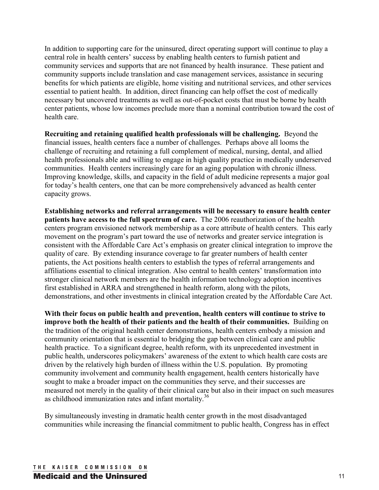In addition to supporting care for the uninsured, direct operating support will continue to play a central role in health centers' success by enabling health centers to furnish patient and community services and supports that are not financed by health insurance. These patient and community supports include translation and case management services, assistance in securing benefits for which patients are eligible, home visiting and nutritional services, and other services essential to patient health. In addition, direct financing can help offset the cost of medically necessary but uncovered treatments as well as out-of-pocket costs that must be borne by health center patients, whose low incomes preclude more than a nominal contribution toward the cost of health care.

**Recruiting and retaining qualified health professionals will be challenging.** Beyond the financial issues, health centers face a number of challenges. Perhaps above all looms the challenge of recruiting and retaining a full complement of medical, nursing, dental, and allied health professionals able and willing to engage in high quality practice in medically underserved communities. Health centers increasingly care for an aging population with chronic illness. Improving knowledge, skills, and capacity in the field of adult medicine represents a major goal for today's health centers, one that can be more comprehensively advanced as health center capacity grows.

**Establishing networks and referral arrangements will be necessary to ensure health center patients have access to the full spectrum of care.** The 2006 reauthorization of the health centers program envisioned network membership as a core attribute of health centers. This early movement on the program's part toward the use of networks and greater service integration is consistent with the Affordable Care Act's emphasis on greater clinical integration to improve the quality of care. By extending insurance coverage to far greater numbers of health center patients, the Act positions health centers to establish the types of referral arrangements and affiliations essential to clinical integration. Also central to health centers' transformation into stronger clinical network members are the health information technology adoption incentives first established in ARRA and strengthened in health reform, along with the pilots, demonstrations, and other investments in clinical integration created by the Affordable Care Act.

**With their focus on public health and prevention, health centers will continue to strive to improve both the health of their patients and the health of their communities.** Building on the tradition of the original health center demonstrations, health centers embody a mission and community orientation that is essential to bridging the gap between clinical care and public health practice. To a significant degree, health reform, with its unprecedented investment in public health, underscores policymakers' awareness of the extent to which health care costs are driven by the relatively high burden of illness within the U.S. population. By promoting community involvement and community health engagement, health centers historically have sought to make a broader impact on the communities they serve, and their successes are measured not merely in the quality of their clinical care but also in their impact on such measures as childhood immunization rates and infant mortality.<sup>36</sup>

By simultaneously investing in dramatic health center growth in the most disadvantaged communities while increasing the financial commitment to public health, Congress has in effect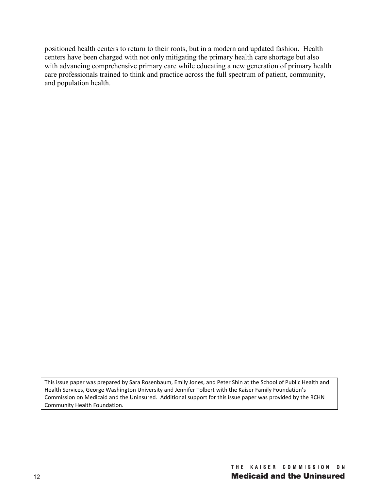positioned health centers to return to their roots, but in a modern and updated fashion. Health centers have been charged with not only mitigating the primary health care shortage but also with advancing comprehensive primary care while educating a new generation of primary health care professionals trained to think and practice across the full spectrum of patient, community, and population health.

This issue paper was prepared by Sara Rosenbaum, Emily Jones, and Peter Shin at the School of Public Health and Health Services, George Washington University and Jennifer Tolbert with the Kaiser Family Foundation's Commission on Medicaid and the Uninsured. Additional support for this issue paper was provided by the RCHN Community Health Foundation.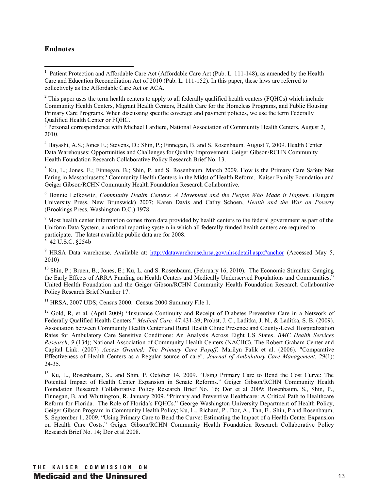#### **Endnotes**

 $2^2$  This paper uses the term health centers to apply to all federally qualified health centers (FQHCs) which include Community Health Centers, Migrant Health Centers, Health Care for the Homeless Programs, and Public Housing Primary Care Programs. When discussing specific coverage and payment policies, we use the term Federally Qualified Health Center or FQHC.

<sup>3</sup> Personal correspondence with Michael Lardiere, National Association of Community Health Centers, August 2, 2010.

<sup>4</sup> Hayashi, A.S.; Jones E.; Stevens, D.; Shin, P.; Finnegan, B. and S. Rosenbaum. August 7, 2009. Health Center Data Warehouses: Opportunities and Challenges for Quality Improvement. Geiger Gibson/RCHN Community Health Foundation Research Collaborative Policy Research Brief No. 13.

<sup>5</sup> Ku, L.; Jones, E.; Finnegan, B.; Shin, P. and S. Rosenbaum. March 2009. How is the Primary Care Safety Net Faring in Massachusetts? Community Health Centers in the Midst of Health Reform. Kaiser Family Foundation and Geiger Gibson/RCHN Community Health Foundation Research Collaborative.

<sup>6</sup> Bonnie Lefkowitz, *Community Health Centers: A Movement and the People Who Made it Happen.* (Rutgers University Press, New Brunswick) 2007; Karen Davis and Cathy Schoen, *Health and the War on Poverty*  (Brookings Press, Washington D.C.) 1978.

 $<sup>7</sup>$  Most health center information comes from data provided by health centers to the federal government as part of the</sup> Uniform Data System, a national reporting system in which all federally funded health centers are required to participate. The latest available public data are for 2008.<br><sup>8</sup> 42 U S C - 8254b 42 U.S.C. §254b

<sup>9</sup> HRSA Data warehouse. Available at: http://datawarehouse.hrsa.gov/nhscdetail.aspx#anchor (Accessed May 5, 2010)

 $^{10}$  Shin, P.; Bruen, B.; Jones, E.; Ku, L. and S. Rosenbaum. (February 16, 2010). The Economic Stimulus: Gauging the Early Effects of ARRA Funding on Health Centers and Medically Underserved Populations and Communities." United Health Foundation and the Geiger Gibson/RCHN Community Health Foundation Research Collaborative Policy Research Brief Number 17.

<sup>11</sup> HRSA, 2007 UDS; Census 2000. Census 2000 Summary File 1.

<sup>12</sup> Gold, R, et al. (April 2009) "Insurance Continuity and Receipt of Diabetes Preventive Care in a Network of Federally Qualified Health Centers." *Medical Care.* 47:431-39; Probst, J. C., Laditka, J. N., & Laditka, S. B. (2009). Association between Community Health Center and Rural Health Clinic Presence and County-Level Hospitalization Rates for Ambulatory Care Sensitive Conditions: An Analysis Across Eight US States. *BMC Health Services Research*, *9* (134); National Association of Community Health Centers (NACHC), The Robert Graham Center and Capital Link. (2007) *Access Granted: The Primary Care Payoff;* Marilyn Falik et al. (2006). "Comparative Effectiveness of Health Centers as a Regular source of care". *Journal of Ambulatory Care Management.* 29(1): 24‐35.

<sup>13</sup> Ku, L., Rosenbaum, S., and Shin, P. October 14, 2009. "Using Primary Care to Bend the Cost Curve: The Potential Impact of Health Center Expansion in Senate Reforms." Geiger Gibson/RCHN Community Health Foundation Research Collaborative Policy Research Brief No. 16; Dor et al 2009; Rosenbaum, S., Shin, P., Finnegan, B. and Whittington, R. January 2009. "Primary and Preventive Healthcare: A Critical Path to Healthcare Reform for Florida. The Role of Florida's FQHCs." George Washington University Department of Health Policy, Geiger Gibson Program in Community Health Policy; Ku, L., Richard, P., Dor, A., Tan, E., Shin, P and Rosenbaum, S. September 1, 2009. "Using Primary Care to Bend the Curve: Estimating the Impact of a Health Center Expansion on Health Care Costs." Geiger Gibson/RCHN Community Health Foundation Research Collaborative Policy Research Brief No. 14; Dor et al 2008.

<sup>&</sup>lt;sup>1</sup> Patient Protection and Affordable Care Act (Affordable Care Act (Pub. L. 111-148), as amended by the Health Care and Education Reconciliation Act of 2010 (Pub. L. 111-152). In this paper, these laws are referred to collectively as the Affordable Care Act or ACA.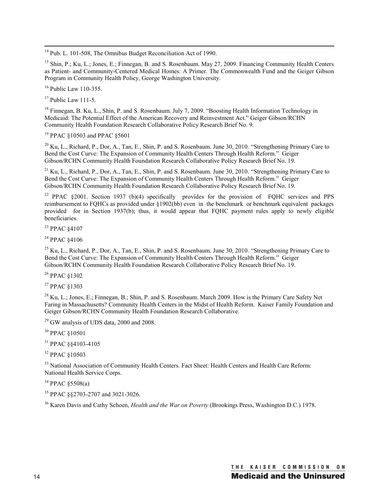$\overline{a}$ <sup>14</sup> Pub. L. 101-508, The Omnibus Budget Reconciliation Act of 1990.

<sup>15</sup> Shin, P.; Ku, L.; Jones, E.; Finnegan, B. and S. Rosenbaum. May 27, 2009. Financing Community Health Centers as Patient- and Community-Centered Medical Homes: A Primer. The Commonwealth Fund and the Geiger Gibson Program in Community Health Policy, George Washington University.

 $16$  Public Law 110-355.

 $17$  Public Law 111-5.

<sup>18</sup> Finnegan, B. Ku, L., Shin, P. and S. Rosenbaum. July 7, 2009. "Boosting Health Information Technology in Medicaid: The Potential Effect of the American Recovery and Reinvestment Act." Geiger Gibson/RCHN Community Health Foundation Research Collaborative Policy Research Brief No. 9.

<sup>19</sup> PPAC §10503 and PPAC §5601

<sup>20</sup> Ku, L., Richard, P., Dor, A., Tan, E., Shin, P. and S. Rosenbaum. June 30, 2010. "Strengthening Primary Care to Bend the Cost Curve: The Expansion of Community Health Centers Through Health Reform." Geiger Gibson/RCHN Community Health Foundation Research Collaborative Policy Research Brief No. 19.

 $^{21}$  Ku, L., Richard, P., Dor, A., Tan, E., Shin, P. and S. Rosenbaum. June 30, 2010. "Strengthening Primary Care to Bend the Cost Curve: The Expansion of Community Health Centers Through Health Reform." Geiger Gibson/RCHN Community Health Foundation Research Collaborative Policy Research Brief No. 19.

<sup>22</sup> PPAC §2001. Section 1937 (b)(4) specifically provides for the provision of FQHC services and PPS reimbursement to FQHCs as provided under §1902(bb) even in the benchmark or benchmark equivalent packages provided for in Section 1937(b); thus, it would appear that FQHC payment rules apply to newly eligible beneficiaries.

<sup>23</sup> PPAC §4107

<sup>24</sup> PPAC §4106

<sup>25</sup> Ku, L., Richard, P., Dor, A., Tan, E., Shin, P. and S. Rosenbaum. June 30, 2010. "Strengthening Primary Care to Bend the Cost Curve: The Expansion of Community Health Centers Through Health Reform." Geiger Gibson/RCHN Community Health Foundation Research Collaborative Policy Research Brief No. 19.

<sup>26</sup> PPAC §1302

<sup>27</sup> PPAC §1303

<sup>28</sup> Ku, L.; Jones, E.; Finnegan, B.; Shin, P. and S. Rosenbaum. March 2009. How is the Primary Care Safety Net Faring in Massachusetts? Community Health Centers in the Midst of Health Reform. Kaiser Family Foundation and Geiger Gibson/RCHN Community Health Foundation Research Collaborative.

29 GW analysis of UDS data, 2000 and 2008.

<sup>30</sup> PPAC §10501

<sup>31</sup> PPAC §§4103-4105

<sup>32</sup> PPAC §10503

<sup>33</sup> National Association of Community Health Centers. Fact Sheet: Health Centers and Health Care Reform: National Health Service Corps.

<sup>34</sup> PPAC §5508(a)

<sup>35</sup> PPAC §§2703-2707 and 3021-3026.

36 Karen Davis and Cathy Schoen, *Health and the War on Poverty* (Brookings Press, Washington D.C.) 1978.